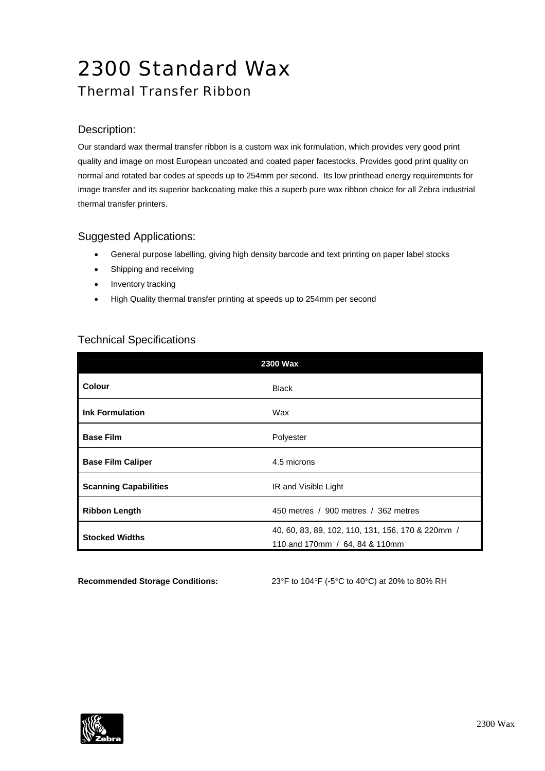# 2300 Standard Wax

# Thermal Transfer Ribbon

#### Description:

Our standard wax thermal transfer ribbon is a custom wax ink formulation, which provides very good print quality and image on most European uncoated and coated paper facestocks. Provides good print quality on normal and rotated bar codes at speeds up to 254mm per second. Its low printhead energy requirements for image transfer and its superior backcoating make this a superb pure wax ribbon choice for all Zebra industrial thermal transfer printers.

#### Suggested Applications:

- General purpose labelling, giving high density barcode and text printing on paper label stocks
- Shipping and receiving
- Inventory tracking
- High Quality thermal transfer printing at speeds up to 254mm per second

### Technical Specifications

| 2300 Wax                     |                                                   |  |
|------------------------------|---------------------------------------------------|--|
| Colour                       | <b>Black</b>                                      |  |
| <b>Ink Formulation</b>       | Wax                                               |  |
| <b>Base Film</b>             | Polyester                                         |  |
| <b>Base Film Caliper</b>     | 4.5 microns                                       |  |
| <b>Scanning Capabilities</b> | IR and Visible Light                              |  |
| <b>Ribbon Length</b>         | 450 metres / 900 metres / 362 metres              |  |
| <b>Stocked Widths</b>        | 40, 60, 83, 89, 102, 110, 131, 156, 170 & 220mm / |  |
|                              | 110 and 170mm / 64, 84 & 110mm                    |  |

**Recommended Storage Conditions:** 23°F to 104°F (-5°C to 40°C) at 20% to 80% RH